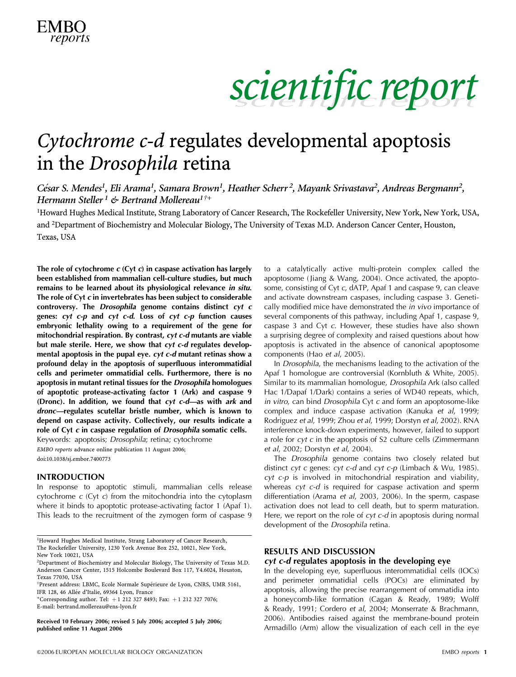

### Cytochrome c-d regulates developmental apoptosis in the Drosophila retina

César S. Mendes<sup>1</sup>, Eli Arama<sup>1</sup>, Samara Brown<sup>1</sup>, Heather Scherr<sup>2</sup>, Mayank Srivastava<sup>2</sup>, Andreas Bergmann<sup>2</sup>, Hermann Steller<sup>1</sup> & Bertrand Mollereau<sup>1†+</sup>

<sup>1</sup>Howard Hughes Medical Institute, Strang Laboratory of Cancer Research, The Rockefeller University, New York, New York, USA, and <sup>2</sup>Department of Biochemistry and Molecular Biology, The University of Texas M.D. Anderson Cancer Center, Houston, Texas, USA

The role of cytochrome  $c$  (Cyt  $c$ ) in caspase activation has largely been established from mammalian cell-culture studies, but much remains to be learned about its physiological relevance in situ. The role of Cyt c in invertebrates has been subject to considerable controversy. The Drosophila genome contains distinct cyt c genes: cyt c-p and cyt c-d. Loss of cyt c-p function causes embryonic lethality owing to a requirement of the gene for mitochondrial respiration. By contrast, cyt c-d mutants are viable but male sterile. Here, we show that cyt c-d regulates developmental apoptosis in the pupal eye. cyt c-d mutant retinas show a profound delay in the apoptosis of superfluous interommatidial cells and perimeter ommatidial cells. Furthermore, there is no apoptosis in mutant retinal tissues for the Drosophila homologues of apoptotic protease-activating factor 1 (Ark) and caspase 9 (Dronc). In addition, we found that cyt c-d—as with ark and dronc—regulates scutellar bristle number, which is known to depend on caspase activity. Collectively, our results indicate a role of Cyt c in caspase regulation of Drosophila somatic cells.

Keywords: apoptosis; Drosophila; retina; cytochrome EMBO reports advance online publication 11 August 2006; doi:10.1038/sj.embor.7400773

### INTRODUCTION

In response to apoptotic stimuli, mammalian cells release cytochrome c (Cyt c) from the mitochondria into the cytoplasm where it binds to apoptotic protease-activating factor 1 (Apaf 1). This leads to the recruitment of the zymogen form of caspase 9

<sup>1</sup>Howard Hughes Medical Institute, Strang Laboratory of Cancer Research, The Rockefeller University, 1230 York Avenue Box 252, 10021, New York, New York 10021, USA

+Corresponding author. Tel:  $+1$  212 327 8493; Fax:  $+1$  212 327 7076; E-mail: bertrand.mollereau@ens-lyon.fr

published online 11 August 2006

to a catalytically active multi-protein complex called the apoptosome (Jiang & Wang, 2004). Once activated, the apoptosome, consisting of Cyt c, dATP, Apaf 1 and caspase 9, can cleave and activate downstream caspases, including caspase 3. Genetically modified mice have demonstrated the in vivo importance of several components of this pathway, including Apaf 1, caspase 9, caspase 3 and Cyt c. However, these studies have also shown a surprising degree of complexity and raised questions about how apoptosis is activated in the absence of canonical apoptosome components (Hao et al, 2005).

In Drosophila, the mechanisms leading to the activation of the Apaf 1 homologue are controversial (Kornbluth & White, 2005). Similar to its mammalian homologue, Drosophila Ark (also called Hac 1/Dapaf 1/Dark) contains a series of WD40 repeats, which, in vitro, can bind Drosophila Cyt c and form an apoptosome-like complex and induce caspase activation (Kanuka et al, 1999; Rodriguez et al, 1999; Zhou et al, 1999; Dorstyn et al, 2002). RNA interference knock-down experiments, however, failed to support a role for  $cyt$  c in the apoptosis of S2 culture cells (Zimmermann et al, 2002; Dorstyn et al, 2004).

The Drosophila genome contains two closely related but distinct cyt c genes: cyt c-d and cyt c-p (Limbach & Wu, 1985). cyt c-p is involved in mitochondrial respiration and viability, whereas cyt c-d is required for caspase activation and sperm differentiation (Arama et al, 2003, 2006). In the sperm, caspase activation does not lead to cell death, but to sperm maturation. Here, we report on the role of cyt c-d in apoptosis during normal development of the Drosophila retina.

### RESULTS AND DISCUSSION

#### cyt c-d regulates apoptosis in the developing eye

In the developing eye, superfluous interommatidial cells (IOCs) and perimeter ommatidial cells (POCs) are eliminated by apoptosis, allowing the precise rearrangement of ommatidia into a honeycomb-like formation (Cagan & Ready, 1989; Wolff & Ready, 1991; Cordero et al, 2004; Monserrate & Brachmann, 2006). Antibodies raised against the membrane-bound protein Received 10 February 2006; revised 5 July 2006; accepted 5 July 2006;<br>
armadillo (Arm) allow the visualization of each cell in the eye Armadillo (Arm) allow the visualization of each cell in the eye

<sup>2</sup> Department of Biochemistry and Molecular Biology, The University of Texas M.D. Anderson Cancer Center, 1515 Holcombe Boulevard Box 117, Y4.6024, Houston, Texas 77030, USA

<sup>†</sup>Present address: LBMC, Ecole Normale Supérieure de Lyon, CNRS, UMR 5161, IFR 128, 46 Allée d'Italie, 69364 Lyon, France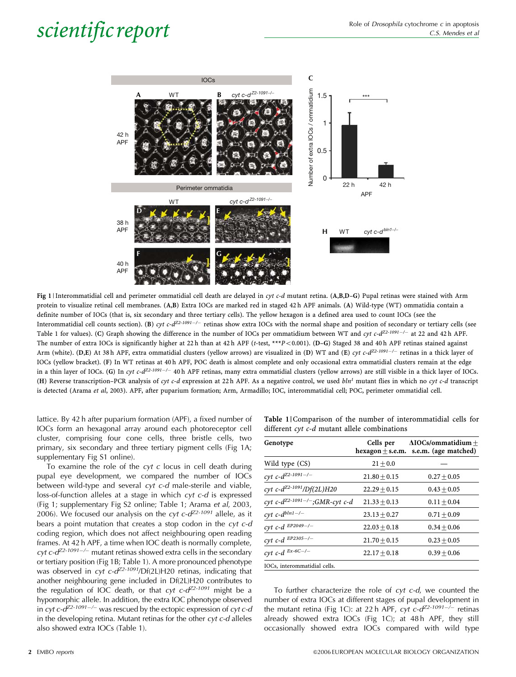

Fig 1 | Interommatidial cell and perimeter ommatidial cell death are delayed in cyt c-d mutant retina. (A,B,D–G) Pupal retinas were stained with Arm protein to visualize retinal cell membranes. (A,B) Extra IOCs are marked red in staged 42 h APF animals. (A) Wild-type (WT) ommatidia contain a definite number of IOCs (that is, six secondary and three tertiary cells). The yellow hexagon is a defined area used to count IOCs (see the Interommatidial cell counts section). (B) cyt c-d<sup>Z2-1091-/-</sup> retinas show extra IOCs with the normal shape and position of secondary or tertiary cells (see Table 1 for values). (C) Graph showing the difference in the number of IOCs per ommatidium between WT and cyt c-d<sup>Z2-1091-/-</sup> at 22 and 42 h APF. The number of extra IOCs is significantly higher at 22h than at 42h APF (t-test, \*\*\* $P<0.001$ ). (D-G) Staged 38 and 40h APF retinas stained against Arm (white). (D,E) At 38h APF, extra ommatidial clusters (yellow arrows) are visualized in (D) WT and (E) cyt c-d<sup>Z2-1091-/-</sup> retinas in a thick layer of IOCs (yellow bracket). (F) In WT retinas at 40 h APF, POC death is almost complete and only occasional extra ommatidial clusters remain at the edge in a thin layer of IOCs. (G) In cyt c-d<sup>Z2-1091–/–</sup> 40h APF retinas, many extra ommatidial clusters (yellow arrows) are still visible in a thick layer of IOCs. (H) Reverse transcription–PCR analysis of cyt c-d expression at 22 h APF. As a negative control, we used  $bln<sup>1</sup>$  mutant flies in which no cyt c-d transcript is detected (Arama et al, 2003). APF, after puparium formation; Arm, Armadillo; IOC, interommatidial cell; POC, perimeter ommatidial cell.

lattice. By 42 h after puparium formation (APF), a fixed number of IOCs form an hexagonal array around each photoreceptor cell cluster, comprising four cone cells, three bristle cells, two primary, six secondary and three tertiary pigment cells (Fig 1A; supplementary Fig S1 online).

To examine the role of the  $cyt$  c locus in cell death during pupal eye development, we compared the number of IOCs between wild-type and several cyt c-d male-sterile and viable, loss-of-function alleles at a stage in which cyt c-d is expressed (Fig 1; supplementary Fig S2 online; Table 1; Arama et al, 2003, 2006). We focused our analysis on the cyt  $c$ - $d^{Z2-1091}$  allele, as it bears a point mutation that creates a stop codon in the cyt c-d coding region, which does not affect neighbouring open reading frames. At 42 h APF, a time when IOC death is normally complete, cyt c- $d^{Z2-1091-/-}$  mutant retinas showed extra cells in the secondary or tertiary position (Fig 1B; Table 1). A more pronounced phenotype was observed in cyt  $c$ - $d^{Z2-1091}$ /Df(2L)H20 retinas, indicating that another neighbouring gene included in Df(2L)H20 contributes to the regulation of IOC death, or that  $cyt$   $c$ - $d^{Z2-1091}$  might be a hypomorphic allele. In addition, the extra IOC phenotype observed in cyt  $c$ - $d^{Z_2-1091-/-}$  was rescued by the ectopic expression of cyt  $c$ -d in the developing retina. Mutant retinas for the other  $\alpha v t c$ -d alleles also showed extra IOCs (Table 1).

|                                              | Table 1   Comparison of the number of interommatidial cells for |  |  |  |  |  |  |  |  |
|----------------------------------------------|-----------------------------------------------------------------|--|--|--|--|--|--|--|--|
| different cyt c-d mutant allele combinations |                                                                 |  |  |  |  |  |  |  |  |

| Genotype                                   | Cells per<br>$hexagon + s.e.m.$ | $\Delta$ IOCs/ommatidium +<br>s.e.m. (age matched) |
|--------------------------------------------|---------------------------------|----------------------------------------------------|
| Wild type (CS)                             | $21 + 0.0$                      |                                                    |
| cyt c- $d^{Z2-1091-/-}$                    | $21.80 + 0.15$                  | $0.27 \pm 0.05$                                    |
| cyt c-d <sup>Z2-1091</sup> /Df(2L)H20      | $22.29 + 0.15$                  | $0.43 + 0.05$                                      |
| cyt c-d <sup>Z2-1091-/-</sup> ;GMR-cyt c-d | $21.33 + 0.13$                  | $0.11 + 0.04$                                      |
| cyt c- $d^{blnl-/-}$                       | $23.13 + 0.27$                  | $0.71 \pm 0.09$                                    |
| cyt c-d $EP2049-/-$                        | $22.03 + 0.18$                  | $0.34 + 0.06$                                      |
| cyt c-d $EP2305-/-$                        | $21.70 \pm 0.15$                | $0.23 + 0.05$                                      |
| cyt c-d $^{Ex-6C-/-}$                      | $22.17 + 0.18$                  | $0.39 + 0.06$                                      |
| IOCs, interommatidial cells.               |                                 |                                                    |

To further characterize the role of  $cyt$   $c-d$ , we counted the number of extra IOCs at different stages of pupal development in the mutant retina (Fig 1C): at 22 h APF,  $cyt$   $c$ - $d^{Z2-1091-/-}$  retinas already showed extra IOCs (Fig 1C); at 48 h APF, they still occasionally showed extra IOCs compared with wild type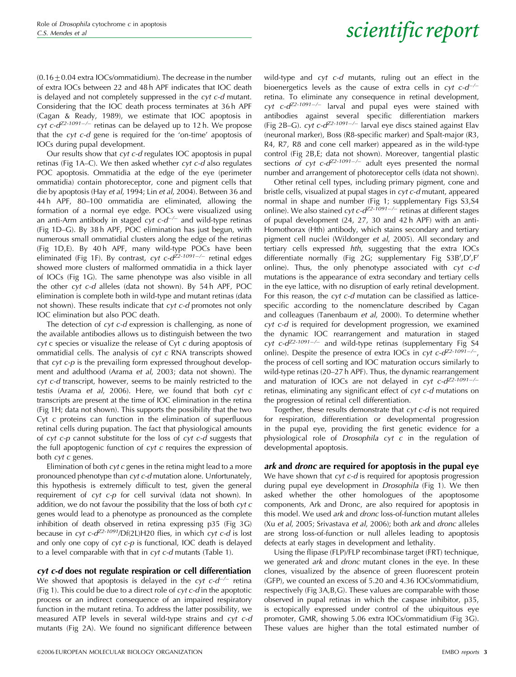$(0.16\pm0.04$  extra IOCs/ommatidium). The decrease in the number of extra IOCs between 22 and 48 h APF indicates that IOC death is delayed and not completely suppressed in the cyt c-d mutant. Considering that the IOC death process terminates at 36 h APF (Cagan & Ready, 1989), we estimate that IOC apoptosis in cyt c- $d^{Z2-1091-/-}$  retinas can be delayed up to 12 h. We propose that the cyt c-d gene is required for the 'on-time' apoptosis of IOCs during pupal development.

Our results show that cyt c-d regulates IOC apoptosis in pupal retinas (Fig 1A–C). We then asked whether cyt c-d also regulates POC apoptosis. Ommatidia at the edge of the eye (perimeter ommatidia) contain photoreceptor, cone and pigment cells that die by apoptosis (Hay et al, 1994; Lin et al, 2004). Between 36 and 44 h APF, 80–100 ommatidia are eliminated, allowing the formation of a normal eye edge. POCs were visualized using an anti-Arm antibody in staged  $cyt$   $c$ - $d^{-/-}$  and wild-type retinas (Fig 1D–G). By 38 h APF, POC elimination has just begun, with numerous small ommatidial clusters along the edge of the retinas (Fig 1D,E). By 40h APF, many wild-type POCs have been eliminated (Fig 1F). By contrast, cyt c-d<sup>Z2-1091-/-</sup> retinal edges showed more clusters of malformed ommatidia in a thick layer of IOCs (Fig 1G). The same phenotype was also visible in all the other cyt c-d alleles (data not shown). By 54 h APF, POC elimination is complete both in wild-type and mutant retinas (data not shown). These results indicate that cyt c-d promotes not only IOC elimination but also POC death.

The detection of cyt c-d expression is challenging, as none of the available antibodies allows us to distinguish between the two cyt c species or visualize the release of Cyt c during apoptosis of ommatidial cells. The analysis of  $cyt$  c RNA transcripts showed that  $cyt$  c- $p$  is the prevailing form expressed throughout development and adulthood (Arama et al, 2003; data not shown). The cyt c-d transcript, however, seems to be mainly restricted to the testis (Arama et al, 2006). Here, we found that both cyt c transcripts are present at the time of IOC elimination in the retina (Fig 1H; data not shown). This supports the possibility that the two Cyt c proteins can function in the elimination of superfluous retinal cells during pupation. The fact that physiological amounts of  $cyt$   $c-p$  cannot substitute for the loss of  $cyt$   $c-d$  suggests that the full apoptogenic function of  $cyt$  c requires the expression of both cyt c genes.

Elimination of both  $\epsilon$ yt  $\epsilon$  genes in the retina might lead to a more pronounced phenotype than cyt c-d mutation alone. Unfortunately, this hypothesis is extremely difficult to test, given the general requirement of cyt c-p for cell survival (data not shown). In addition, we do not favour the possibility that the loss of both cyt c genes would lead to a phenotype as pronounced as the complete inhibition of death observed in retina expressing p35 (Fig 3G) because in cyt c- $d^{Z2-1091}$ /Df(2L)H20 flies, in which cyt c-d is lost and only one copy of cyt c-p is functional, IOC death is delayed to a level comparable with that in *cyt c-d* mutants (Table 1).

### cyt c-d does not regulate respiration or cell differentiation

We showed that apoptosis is delayed in the  $cyt$   $c-d^{-/-}$  retina (Fig 1). This could be due to a direct role of  $cyt c-d$  in the apoptotic process or an indirect consequence of an impaired respiratory function in the mutant retina. To address the latter possibility, we measured ATP levels in several wild-type strains and cyt c-d mutants (Fig 2A). We found no significant difference between

wild-type and cyt c-d mutants, ruling out an effect in the bioenergetics levels as the cause of extra cells in  $cyt$   $c-d^{-/-}$ retina. To eliminate any consequence in retinal development, cyt c- $d^{Z2-1091-/-}$  larval and pupal eyes were stained with antibodies against several specific differentiation markers (Fig 2B–G).  $cyt c-d^{Z2-1091-/-}$  larval eye discs stained against Elav (neuronal marker), Boss (R8-specific marker) and Spalt-major (R3, R4, R7, R8 and cone cell marker) appeared as in the wild-type control (Fig 2B,E; data not shown). Moreover, tangential plastic sections of cyt  $c$ - $d^{Z2-1091-/-}$  adult eyes presented the normal number and arrangement of photoreceptor cells (data not shown).

Other retinal cell types, including primary pigment, cone and bristle cells, visualized at pupal stages in cyt c-d mutant, appeared normal in shape and number (Fig 1; supplementary Figs S3,S4 online). We also stained  $cyt c-d^{Z2-1091-/-}$  retinas at different stages of pupal development (24, 27, 30 and 42 h APF) with an anti-Homothorax (Hth) antibody, which stains secondary and tertiary pigment cell nuclei (Wildonger et al, 2005). All secondary and tertiary cells expressed hth, suggesting that the extra IOCs differentiate normally (Fig 2G; supplementary Fig S3B',D',F' online). Thus, the only phenotype associated with  $cyt$   $c-d$ mutations is the appearance of extra secondary and tertiary cells in the eye lattice, with no disruption of early retinal development. For this reason, the  $cyt$  c-d mutation can be classified as latticespecific according to the nomenclature described by Cagan and colleagues (Tanenbaum et al, 2000). To determine whether cyt c-d is required for development progression, we examined the dynamic IOC rearrangement and maturation in staged cyt c- $d^{Z2-1091-/-}$  and wild-type retinas (supplementary Fig S4 online). Despite the presence of extra IOCs in  $cyt$   $c$ - $d^{Z2-1091-/-}$ , the process of cell sorting and IOC maturation occurs similarly to wild-type retinas (20–27 h APF). Thus, the dynamic rearrangement and maturation of IOCs are not delayed in  $cyt$   $c-d^{Z-1091-/-}$ retinas, eliminating any significant effect of cyt c-d mutations on the progression of retinal cell differentiation.

Together, these results demonstrate that cyt c-d is not required for respiration, differentiation or developmental progression in the pupal eye, providing the first genetic evidence for a physiological role of Drosophila cyt c in the regulation of developmental apoptosis.

ark and dronc are required for apoptosis in the pupal eye We have shown that *cyt c-d* is required for apoptosis progression during pupal eye development in Drosophila (Fig 1). We then asked whether the other homologues of the apoptosome components, Ark and Dronc, are also required for apoptosis in this model. We used ark and dronc loss-of-function mutant alleles (Xu et al, 2005; Srivastava et al, 2006); both ark and dronc alleles are strong loss-of-function or null alleles leading to apoptosis defects at early stages in development and lethality.

Using the flipase (FLP)/FLP recombinase target (FRT) technique, we generated *ark* and *dronc* mutant clones in the eye. In these clones, visualized by the absence of green fluorescent protein (GFP), we counted an excess of 5.20 and 4.36 IOCs/ommatidium, respectively (Fig 3A,B,G). These values are comparable with those observed in pupal retinas in which the caspase inhibitor, p35, is ectopically expressed under control of the ubiquitous eye promoter, GMR, showing 5.06 extra IOCs/ommatidium (Fig 3G). These values are higher than the total estimated number of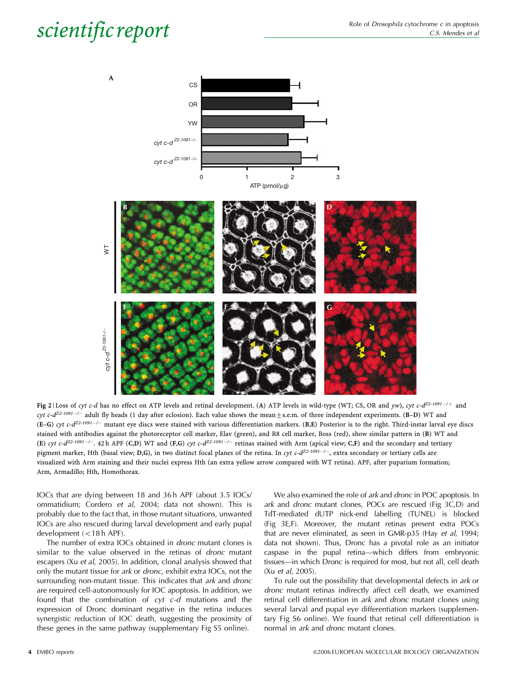

Fig 2 | Loss of cyt c-d has no effect on ATP levels and retinal development. (A) ATP levels in wild-type (WT; CS, OR and yw), cyt c-d<sup>Z2-1091-/+</sup> and cyt c-d<sup>Z2-1091-/-</sup> adult fly heads (1 day after eclosion). Each value shows the mean $\pm$ s.e.m. of three independent experiments. (B-D) WT and  $(E-G)$  cyt c-d<sup>Z2-1091-/-</sup> mutant eye discs were stained with various differentiation markers. (B,E) Posterior is to the right. Third-instar larval eye discs stained with antibodies against the photoreceptor cell marker, Elav (green), and R8 cell marker, Boss (red), show similar pattern in (B) WT and (E) cyt c-d<sup>Z2-1091-/-</sup>. 42h APF (C,D) WT and (F,G) cyt c-d<sup>Z2-1091-/-</sup> retinas stained with Arm (apical view; C,F) and the secondary and tertiary pigment marker, Hth (basal view; D,G), in two distinct focal planes of the retina. In cyt c-d<sup>Z2-1091-/-</sup>, extra secondary or tertiary cells are visualized with Arm staining and their nuclei express Hth (an extra yellow arrow compared with WT retina). APF, after puparium formation; Arm, Armadillo; Hth, Homothorax.

IOCs that are dying between 18 and 36 h APF (about 3.5 IOCs/ ommatidium; Cordero et al, 2004; data not shown). This is probably due to the fact that, in those mutant situations, unwanted IOCs are also rescued during larval development and early pupal development  $(<18$  h APF).

The number of extra IOCs obtained in dronc mutant clones is similar to the value observed in the retinas of *dronc* mutant escapers (Xu et al, 2005). In addition, clonal analysis showed that only the mutant tissue for ark or dronc, exhibit extra IOCs, not the surrounding non-mutant tissue. This indicates that ark and dronc are required cell-autonomously for IOC apoptosis. In addition, we found that the combination of  $cyt$   $c-d$  mutations and the expression of Dronc dominant negative in the retina induces synergistic reduction of IOC death, suggesting the proximity of these genes in the same pathway (supplementary Fig S5 online).

We also examined the role of ark and dronc in POC apoptosis. In ark and dronc mutant clones, POCs are rescued (Fig 3C,D) and TdT-mediated dUTP nick-end labelling (TUNEL) is blocked (Fig 3E,F). Moreover, the mutant retinas present extra POCs that are never eliminated, as seen in GMR-p35 (Hay et al, 1994; data not shown). Thus, Dronc has a pivotal role as an initiator caspase in the pupal retina—which differs from embryonic tissues—in which Dronc is required for most, but not all, cell death (Xu et al, 2005).

To rule out the possibility that developmental defects in ark or dronc mutant retinas indirectly affect cell death, we examined retinal cell differentiation in ark and dronc mutant clones using several larval and pupal eye differentiation markers (supplementary Fig S6 online). We found that retinal cell differentiation is normal in ark and dronc mutant clones.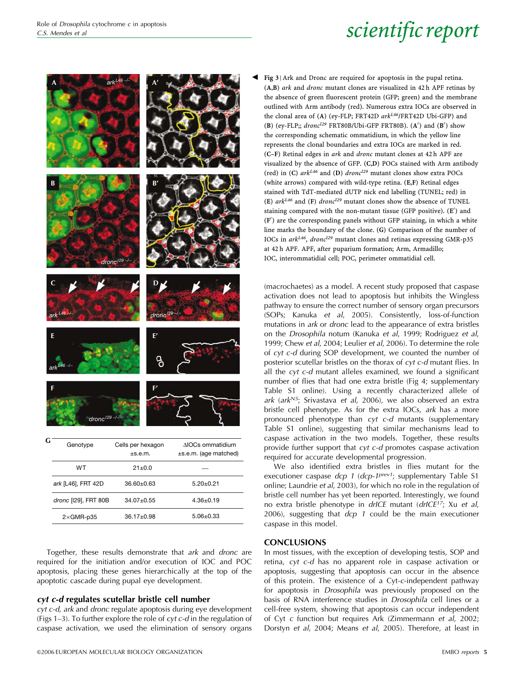

Together, these results demonstrate that ark and dronc are required for the initiation and/or execution of IOC and POC apoptosis, placing these genes hierarchically at the top of the apoptotic cascade during pupal eye development.

### cyt c-d regulates scutellar bristle cell number

cyt c-d, ark and dronc regulate apoptosis during eye development (Figs 1–3). To further explore the role of  $cyt$  c-d in the regulation of caspase activation, we used the elimination of sensory organs Fig 3 | Ark and Dronc are required for apoptosis in the pupal retina. (A,B) ark and dronc mutant clones are visualized in 42 h APF retinas by the absence of green fluorescent protein (GFP; green) and the membrane outlined with Arm antibody (red). Numerous extra IOCs are observed in the clonal area of (A) (ey-FLP; FRT42D  $ark^{L46}/FRT42D$  Ubi-GFP) and (B) (ey-FLP;;  $dronc^{129}$  FRT80B/Ubi-GFP FRT80B). (A') and (B') show the corresponding schematic ommatidium, in which the yellow line represents the clonal boundaries and extra IOCs are marked in red. (C–F) Retinal edges in ark and dronc mutant clones at 42 h APF are visualized by the absence of GFP. (C,D) POCs stained with Arm antibody (red) in (C)  $ark^{L46}$  and (D) dronc<sup>129</sup> mutant clones show extra POCs (white arrows) compared with wild-type retina. (E,F) Retinal edges stained with TdT-mediated dUTP nick end labelling (TUNEL; red) in (E)  $ark^{L46}$  and (F) dronc<sup> $129$ </sup> mutant clones show the absence of TUNEL staining compared with the non-mutant tissue (GFP positive). (E') and (F') are the corresponding panels without GFP staining, in which a white line marks the boundary of the clone. (G) Comparison of the number of IOCs in  $ark^{L46}$ , dronc<sup> $L29$ </sup> mutant clones and retinas expressing GMR-p35 at 42 h APF. APF, after puparium formation; Arm, Armadillo; IOC, interommatidial cell; POC, perimeter ommatidial cell.

(macrochaetes) as a model. A recent study proposed that caspase activation does not lead to apoptosis but inhibits the Wingless pathway to ensure the correct number of sensory organ precursors (SOPs; Kanuka et al, 2005). Consistently, loss-of-function mutations in ark or dronc lead to the appearance of extra bristles on the Drosophila notum (Kanuka et al, 1999; Rodriguez et al, 1999; Chew et al, 2004; Leulier et al, 2006). To determine the role of cyt c-d during SOP development, we counted the number of posterior scutellar bristles on the thorax of cyt c-d mutant flies. In all the cyt c-d mutant alleles examined, we found a significant number of flies that had one extra bristle (Fig 4; supplementary Table S1 online). Using a recently characterized allele of ark (ark $N^5$ ; Srivastava et al, 2006), we also observed an extra bristle cell phenotype. As for the extra IOCs, ark has a more pronounced phenotype than cyt c-d mutants (supplementary Table S1 online), suggesting that similar mechanisms lead to caspase activation in the two models. Together, these results provide further support that cyt c-d promotes caspase activation required for accurate developmental progression.

We also identified extra bristles in flies mutant for the executioner caspase dcp 1 (dcp-1<sup>prev1</sup>; supplementary Table S1 online; Laundrie et al, 2003), for which no role in the regulation of bristle cell number has yet been reported. Interestingly, we found no extra bristle phenotype in  $drICE$  mutant  $(drICE^{17})$ ; Xu et al, 2006), suggesting that  $dcp$  1 could be the main executioner caspase in this model.

### **CONCLUSIONS**

In most tissues, with the exception of developing testis, SOP and retina, cyt c-d has no apparent role in caspase activation or apoptosis, suggesting that apoptosis can occur in the absence of this protein. The existence of a Cyt-c-independent pathway for apoptosis in Drosophila was previously proposed on the basis of RNA interference studies in Drosophila cell lines or a cell-free system, showing that apoptosis can occur independent of Cyt c function but requires Ark (Zimmermann et al, 2002; Dorstyn et al, 2004; Means et al, 2005). Therefore, at least in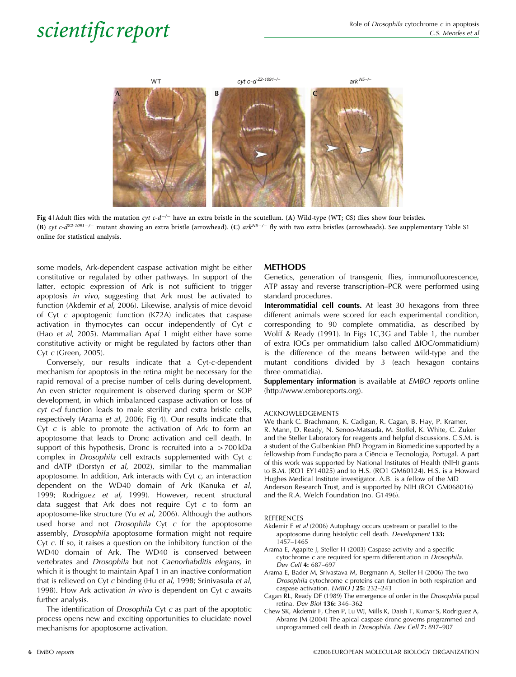

Fig 4 | Adult flies with the mutation cyt c-d<sup>-/-</sup> have an extra bristle in the scutellum. (A) Wild-type (WT; CS) flies show four bristles. (B) cyt c-d<sup>Z2-1091-/-</sup> mutant showing an extra bristle (arrowhead). (C) ark<sup>N5-/-</sup> fly with two extra bristles (arrowheads). See supplementary Table S1 online for statistical analysis.

some models, Ark-dependent caspase activation might be either constitutive or regulated by other pathways. In support of the latter, ectopic expression of Ark is not sufficient to trigger apoptosis in vivo, suggesting that Ark must be activated to function (Akdemir et al, 2006). Likewise, analysis of mice devoid of Cyt c apoptogenic function (K72A) indicates that caspase activation in thymocytes can occur independently of Cyt c (Hao et al, 2005). Mammalian Apaf 1 might either have some constitutive activity or might be regulated by factors other than Cyt c (Green, 2005).

Conversely, our results indicate that a Cyt-c-dependent mechanism for apoptosis in the retina might be necessary for the rapid removal of a precise number of cells during development. An even stricter requirement is observed during sperm or SOP development, in which imbalanced caspase activation or loss of cyt c-d function leads to male sterility and extra bristle cells, respectively (Arama et al, 2006; Fig 4). Our results indicate that Cyt  $c$  is able to promote the activation of Ark to form an apoptosome that leads to Dronc activation and cell death. In support of this hypothesis, Dronc is recruited into  $a > 700$  kDa complex in Drosophila cell extracts supplemented with Cyt c and dATP (Dorstyn et al, 2002), similar to the mammalian apoptosome. In addition, Ark interacts with Cyt c, an interaction dependent on the WD40 domain of Ark (Kanuka et al, 1999; Rodriguez et al, 1999). However, recent structural data suggest that Ark does not require Cyt c to form an apoptosome-like structure (Yu et al, 2006). Although the authors used horse and not Drosophila Cyt c for the apoptosome assembly, Drosophila apoptosome formation might not require Cyt c. If so, it raises a question on the inhibitory function of the WD40 domain of Ark. The WD40 is conserved between vertebrates and Drosophila but not Caenorhabditis elegans, in which it is thought to maintain Apaf 1 in an inactive conformation that is relieved on Cyt c binding (Hu et al, 1998; Srinivasula et al, 1998). How Ark activation in vivo is dependent on Cyt  $c$  awaits further analysis.

The identification of *Drosophila* Cyt c as part of the apoptotic process opens new and exciting opportunities to elucidate novel mechanisms for apoptosome activation.

### METHODS

Genetics, generation of transgenic flies, immunofluorescence, ATP assay and reverse transcription–PCR were performed using standard procedures.

Interommatidial cell counts. At least 30 hexagons from three different animals were scored for each experimental condition, corresponding to 90 complete ommatidia, as described by Wolff & Ready (1991). In Figs 1C,3G and Table 1, the number of extra IOCs per ommatidium (also called  $\Delta$ IOC/ommatidium) is the difference of the means between wild-type and the mutant conditions divided by 3 (each hexagon contains three ommatidia).

Supplementary information is available at EMBO reports online (http://www.emboreports.org).

### ACKNOWLEDGEMENTS

We thank C. Brachmann, K. Cadigan, R. Cagan, B. Hay, P. Kramer, R. Mann, D. Ready, N. Senoo-Matsuda, M. Stoffel, K. White, C. Zuker and the Steller Laboratory for reagents and helpful discussions. C.S.M. is a student of the Gulbenkian PhD Program in Biomedicine supported by a fellowship from Fundação para a Ciëncia e Tecnologia, Portugal. A part of this work was supported by National Institutes of Health (NIH) grants to B.M. (RO1 EY14025) and to H.S. (RO1 GM60124). H.S. is a Howard Hughes Medical Institute investigator. A.B. is a fellow of the MD Anderson Research Trust, and is supported by NIH (RO1 GM068016) and the R.A. Welch Foundation (no. G1496).

### **REFERENCES**

- Akdemir F et al (2006) Autophagy occurs upstream or parallel to the apoptosome during histolytic cell death. Development 133: 1457–1465
- Arama E, Agapite J, Steller H (2003) Caspase activity and a specific cytochrome c are required for sperm differentiation in Drosophila. Dev Cell 4: 687–697
- Arama E, Bader M, Srivastava M, Bergmann A, Steller H (2006) The two Drosophila cytochrome c proteins can function in both respiration and caspase activation. EMBO J 25: 232–243
- Cagan RL, Ready DF (1989) The emergence of order in the Drosophila pupal retina. Dev Biol 136: 346–362
- Chew SK, Akdemir F, Chen P, Lu WJ, Mills K, Daish T, Kumar S, Rodriguez A, Abrams JM (2004) The apical caspase dronc governs programmed and unprogrammed cell death in Drosophila. Dev Cell 7: 897–907